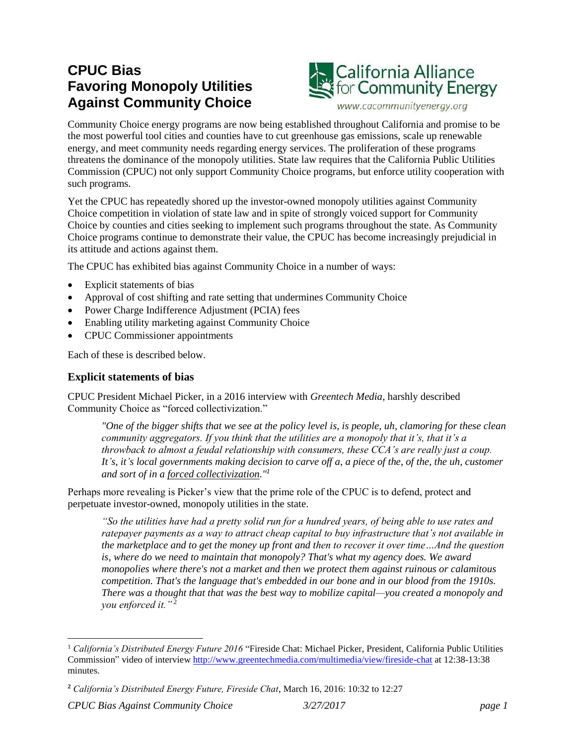# **CPUC Bias Favoring Monopoly Utilities Against Community Choice**



Community Choice energy programs are now being established throughout California and promise to be the most powerful tool cities and counties have to cut greenhouse gas emissions, scale up renewable energy, and meet community needs regarding energy services. The proliferation of these programs threatens the dominance of the monopoly utilities. State law requires that the California Public Utilities Commission (CPUC) not only support Community Choice programs, but enforce utility cooperation with such programs.

Yet the CPUC has repeatedly shored up the investor-owned monopoly utilities against Community Choice competition in violation of state law and in spite of strongly voiced support for Community Choice by counties and cities seeking to implement such programs throughout the state. As Community Choice programs continue to demonstrate their value, the CPUC has become increasingly prejudicial in its attitude and actions against them.

The CPUC has exhibited bias against Community Choice in a number of ways:

- Explicit statements of bias
- Approval of cost shifting and rate setting that undermines Community Choice
- Power Charge Indifference Adjustment (PCIA) fees
- Enabling utility marketing against Community Choice
- CPUC Commissioner appointments

Each of these is described below.

#### **Explicit statements of bias**

CPUC President Michael Picker, in a 2016 interview with *Greentech Media*, harshly described Community Choice as "forced collectivization."

*"One of the bigger shifts that we see at the policy level is, is people, uh, clamoring for these clean community aggregators. If you think that the utilities are a monopoly that it's, that it's a throwback to almost a feudal relationship with consumers, these CCA's are really just a coup. It's, it's local governments making decision to carve off a, a piece of the, of the, the uh, customer and sort of in a forced collectivization."<sup>1</sup>*

Perhaps more revealing is Picker's view that the prime role of the CPUC is to defend, protect and perpetuate investor-owned, monopoly utilities in the state.

*"So the utilities have had a pretty solid run for a hundred years, of being able to use rates and ratepayer payments as a way to attract cheap capital to buy infrastructure that's not available in the marketplace and to get the money up front and then to recover it over time…And the question is, where do we need to maintain that monopoly? That's what my agency does. We award monopolies where there's not a market and then we protect them against ruinous or calamitous competition. That's the language that's embedded in our bone and in our blood from the 1910s. There was a thought that that was the best way to mobilize capital—you created a monopoly and you enforced it.*"<sup>2</sup>

l

<sup>1</sup> *California's Distributed Energy Future 2016* "Fireside Chat: Michael Picker, President, California Public Utilities Commission" video of interview <http://www.greentechmedia.com/multimedia/view/fireside-chat> at 12:38-13:38 minutes.

**<sup>2</sup>** *California's Distributed Energy Future, Fireside Chat*, March 16, 2016: 10:32 to 12:27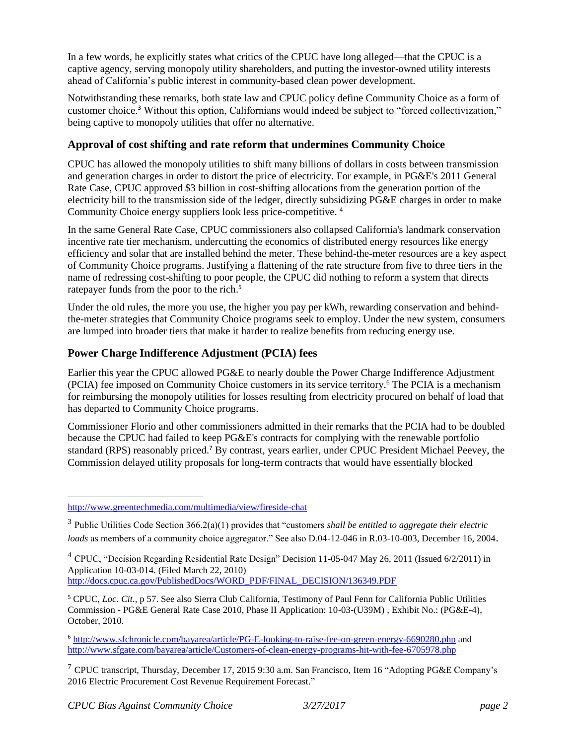In a few words, he explicitly states what critics of the CPUC have long alleged—that the CPUC is a captive agency, serving monopoly utility shareholders, and putting the investor-owned utility interests ahead of California's public interest in community-based clean power development.

Notwithstanding these remarks, both state law and CPUC policy define Community Choice as a form of customer choice.<sup>3</sup> Without this option, Californians would indeed be subject to "forced collectivization," being captive to monopoly utilities that offer no alternative.

# **Approval of cost shifting and rate reform that undermines Community Choice**

CPUC has allowed the monopoly utilities to shift many billions of dollars in costs between transmission and generation charges in order to distort the price of electricity. For example, in PG&E's 2011 General Rate Case, CPUC approved \$3 billion in cost-shifting allocations from the generation portion of the electricity bill to the transmission side of the ledger, directly subsidizing PG&E charges in order to make Community Choice energy suppliers look less price-competitive. <sup>4</sup>

In the same General Rate Case, CPUC commissioners also collapsed California's landmark conservation incentive rate tier mechanism, undercutting the economics of distributed energy resources like energy efficiency and solar that are installed behind the meter. These behind-the-meter resources are a key aspect of Community Choice programs. Justifying a flattening of the rate structure from five to three tiers in the name of redressing cost-shifting to poor people, the CPUC did nothing to reform a system that directs ratepayer funds from the poor to the rich.<sup>5</sup>

Under the old rules, the more you use, the higher you pay per kWh, rewarding conservation and behindthe-meter strategies that Community Choice programs seek to employ. Under the new system, consumers are lumped into broader tiers that make it harder to realize benefits from reducing energy use.

## **Power Charge Indifference Adjustment (PCIA) fees**

Earlier this year the CPUC allowed PG&E to nearly double the Power Charge Indifference Adjustment (PCIA) fee imposed on Community Choice customers in its service territory.<sup>6</sup> The PCIA is a mechanism for reimbursing the monopoly utilities for losses resulting from electricity procured on behalf of load that has departed to Community Choice programs.

Commissioner Florio and other commissioners admitted in their remarks that the PCIA had to be doubled because the CPUC had failed to keep PG&E's contracts for complying with the renewable portfolio standard (RPS) reasonably priced.<sup>7</sup> By contrast, years earlier, under CPUC President Michael Peevey, the Commission delayed utility proposals for long-term contracts that would have essentially blocked

#### l <http://www.greentechmedia.com/multimedia/view/fireside-chat>

3 Public Utilities Code Section 366.2(a)(1) provides that "customers *shall be entitled to aggregate their electric loads* as members of a community choice aggregator." See also D.04-12-046 in R.03-10-003, December 16, 2004.

<sup>4</sup> CPUC, "Decision Regarding Residential Rate Design" Decision 11-05-047 May 26, 2011 (Issued 6/2/2011) in Application 10-03-014. (Filed March 22, 2010) [http://docs.cpuc.ca.gov/PublishedDocs/WORD\\_PDF/FINAL\\_DECISION/136349.PDF](http://docs.cpuc.ca.gov/PublishedDocs/WORD_PDF/FINAL_DECISION/136349.PDF)

<sup>5</sup> CPUC, *Loc. Cit.,* p 57. See also Sierra Club California, Testimony of Paul Fenn for California Public Utilities Commission - PG&E General Rate Case 2010, Phase II Application: 10-03-(U39M) , Exhibit No.: (PG&E-4), October, 2010.

<sup>6</sup> <http://www.sfchronicle.com/bayarea/article/PG-E-looking-to-raise-fee-on-green-energy-6690280.php> and <http://www.sfgate.com/bayarea/article/Customers-of-clean-energy-programs-hit-with-fee-6705978.php>

<sup>7</sup> CPUC transcript, Thursday, December 17, 2015 9:30 a.m. San Francisco, Item 16 "Adopting PG&E Company's 2016 Electric Procurement Cost Revenue Requirement Forecast."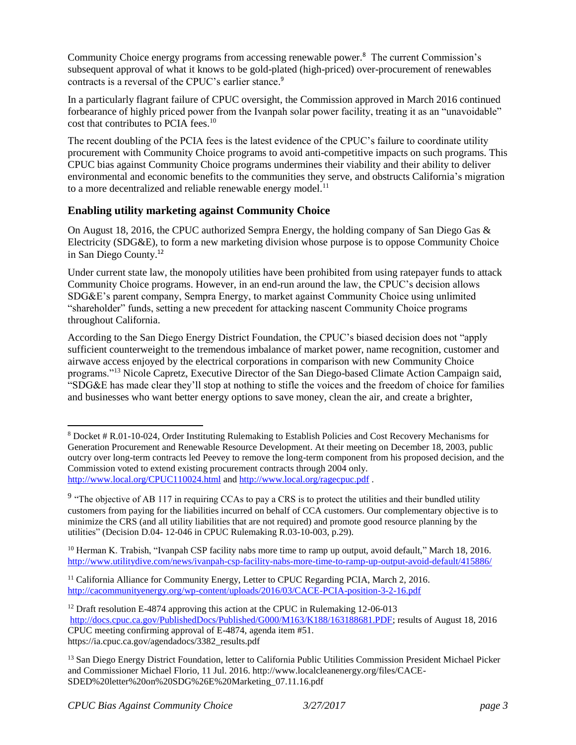Community Choice energy programs from accessing renewable power.<sup>8</sup> The current Commission's subsequent approval of what it knows to be gold-plated (high-priced) over-procurement of renewables contracts is a reversal of the CPUC's earlier stance. 9

In a particularly flagrant failure of CPUC oversight, the Commission approved in March 2016 continued forbearance of highly priced power from the Ivanpah solar power facility, treating it as an "unavoidable" cost that contributes to PCIA fees.<sup>10</sup>

The recent doubling of the PCIA fees is the latest evidence of the CPUC's failure to coordinate utility procurement with Community Choice programs to avoid anti-competitive impacts on such programs. This CPUC bias against Community Choice programs undermines their viability and their ability to deliver environmental and economic benefits to the communities they serve, and obstructs California's migration to a more decentralized and reliable renewable energy model.<sup>11</sup>

## **Enabling utility marketing against Community Choice**

On August 18, 2016, the CPUC authorized Sempra Energy, the holding company of San Diego Gas & Electricity (SDG&E), to form a new marketing division whose purpose is to oppose Community Choice in San Diego County.<sup>12</sup>

Under current state law, the monopoly utilities have been prohibited from using ratepayer funds to attack Community Choice programs. However, in an end-run around the law, the CPUC's decision allows SDG&E's parent company, Sempra Energy, to market against Community Choice using unlimited "shareholder" funds, setting a new precedent for attacking nascent Community Choice programs throughout California.

According to the San Diego Energy District Foundation, the CPUC's biased decision does not "apply sufficient counterweight to the tremendous imbalance of market power, name recognition, customer and airwave access enjoyed by the electrical corporations in comparison with new Community Choice programs."<sup>13</sup> Nicole Capretz, Executive Director of the San Diego-based Climate Action Campaign said, "SDG&E has made clear they'll stop at nothing to stifle the voices and the freedom of choice for families and businesses who want better energy options to save money, clean the air, and create a brighter,

<sup>10</sup> Herman K. Trabish, "Ivanpah CSP facility nabs more time to ramp up output, avoid default," March 18, 2016. <http://www.utilitydive.com/news/ivanpah-csp-facility-nabs-more-time-to-ramp-up-output-avoid-default/415886/>

<sup>11</sup> California Alliance for Community Energy, Letter to CPUC Regarding PCIA, March 2, 2016. <http://cacommunityenergy.org/wp-content/uploads/2016/03/CACE-PCIA-position-3-2-16.pdf>

l

<sup>8</sup> Docket # R.01-10-024, Order Instituting Rulemaking to Establish Policies and Cost Recovery Mechanisms for Generation Procurement and Renewable Resource Development. At their meeting on December 18, 2003, public outcry over long-term contracts led Peevey to remove the long-term component from his proposed decision, and the Commission voted to extend existing procurement contracts through 2004 only. <http://www.local.org/CPUC110024.html> and<http://www.local.org/ragecpuc.pdf> .

<sup>&</sup>lt;sup>9</sup> "The objective of AB 117 in requiring CCAs to pay a CRS is to protect the utilities and their bundled utility customers from paying for the liabilities incurred on behalf of CCA customers. Our complementary objective is to minimize the CRS (and all utility liabilities that are not required) and promote good resource planning by the utilities" (Decision D.04- 12-046 in CPUC Rulemaking R.03-10-003, p.29).

<sup>&</sup>lt;sup>12</sup> Draft resolution E-4874 approving this action at the CPUC in Rulemaking 12-06-013 [http://docs.cpuc.ca.gov/PublishedDocs/Published/G000/M163/K188/163188681.PDF;](http://docs.cpuc.ca.gov/PublishedDocs/Published/G000/M163/K188/163188681.PDF) results of August 18, 2016 CPUC meeting confirming approval of E-4874, agenda item #51.

https://ia.cpuc.ca.gov/agendadocs/3382\_results.pdf

<sup>&</sup>lt;sup>13</sup> San Diego Energy District Foundation, letter to California Public Utilities Commission President Michael Picker and Commissioner Michael Florio, 11 Jul. 2016. http://www.localcleanenergy.org/files/CACE-SDED%20letter%20on%20SDG%26E%20Marketing\_07.11.16.pdf